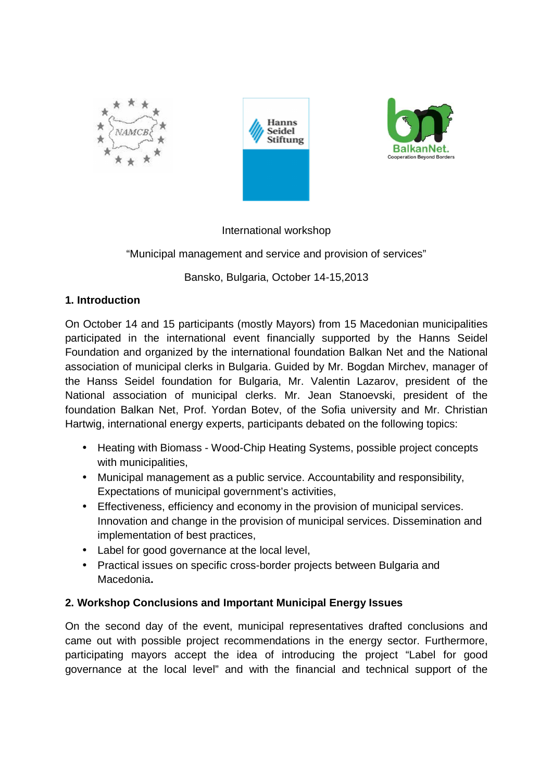





## International workshop

## "Municipal management and service and provision of services"

Bansko, Bulgaria, October 14-15,2013

## **1. Introduction**

On October 14 and 15 participants (mostly Mayors) from 15 Macedonian municipalities participated in the international event financially supported by the Hanns Seidel Foundation and organized by the international foundation Balkan Net and the National association of municipal clerks in Bulgaria. Guided by Mr. Bоgdan Mirchev, manager of the Hanss Seidel foundation for Bulgaria, Mr. Valentin Lazarov, president of the National association of municipal clerks. Mr. Jean Stanoevski, president of the foundation Balkan Net, Prof. Yordan Botev, of the Sofia university and Mr. Christian Hartwig, international energy experts, participants debated on the following topics:

- Heating with Biomass Wood-Chip Heating Systems, possible project concepts with municipalities,
- Municipal management as a public service. Accountability and responsibility, Expectations of municipal government's activities,
- Effectiveness, efficiency and economy in the provision of municipal services. Innovation and change in the provision of municipal services. Dissemination and implementation of best practices,
- Label for good governance at the local level,
- Practical issues on specific cross-border projects between Bulgaria and Macedonia**.**

# **2. Workshop Conclusions and Important Municipal Energy Issues**

On the second day of the event, municipal representatives drafted conclusions and came out with possible project recommendations in the energy sector. Furthermore, participating mayors accept the idea of introducing the project "Label for good governance at the local level" and with the financial and technical support of the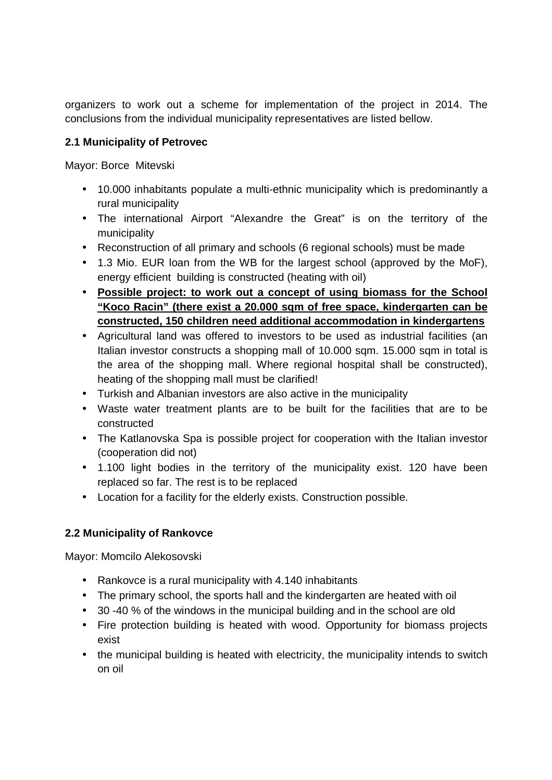organizers to work out a scheme for implementation of the project in 2014. The conclusions from the individual municipality representatives are listed bellow.

## **2.1 Municipality of Petrovec**

Mayor: Borce Mitevski

- 10.000 inhabitants populate a multi-ethnic municipality which is predominantly a rural municipality
- The international Airport "Alexandre the Great" is on the territory of the municipality
- Reconstruction of all primary and schools (6 regional schools) must be made
- 1.3 Mio. EUR loan from the WB for the largest school (approved by the MoF), energy efficient building is constructed (heating with oil)
- **Possible project: to work out a concept of using biomass for the School "Koco Racin" (there exist a 20.000 sqm of free space, kindergarten can be constructed, 150 children need additional accommodation in kindergartens**
- Agricultural land was offered to investors to be used as industrial facilities (an Italian investor constructs a shopping mall of 10.000 sqm. 15.000 sqm in total is the area of the shopping mall. Where regional hospital shall be constructed), heating of the shopping mall must be clarified!
- Turkish and Albanian investors are also active in the municipality
- Waste water treatment plants are to be built for the facilities that are to be constructed
- The Katlanovska Spa is possible project for cooperation with the Italian investor (cooperation did not)
- 1.100 light bodies in the territory of the municipality exist. 120 have been replaced so far. The rest is to be replaced
- Location for a facility for the elderly exists. Construction possible.

# **2.2 Municipality of Rankovce**

Mayor: Momcilo Alekosovski

- Rankovce is a rural municipality with 4.140 inhabitants
- The primary school, the sports hall and the kindergarten are heated with oil
- 30 -40 % of the windows in the municipal building and in the school are old
- Fire protection building is heated with wood. Opportunity for biomass projects exist
- the municipal building is heated with electricity, the municipality intends to switch on oil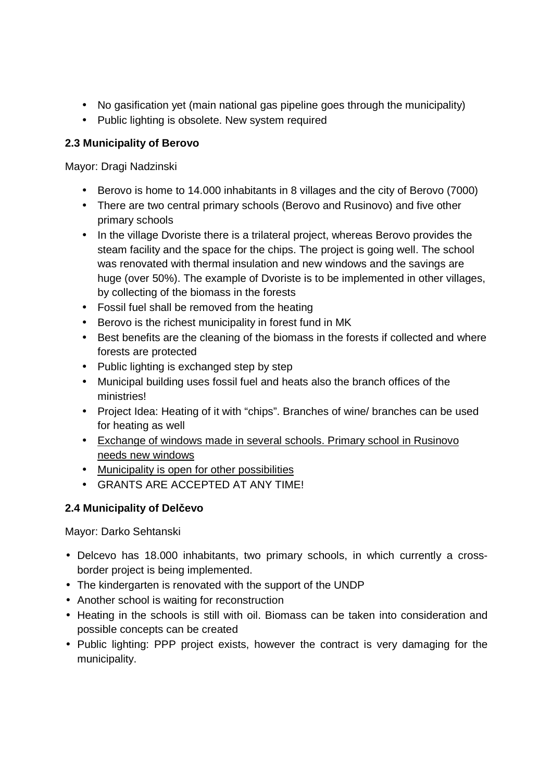- No gasification yet (main national gas pipeline goes through the municipality)
- Public lighting is obsolete. New system required

## **2.3 Municipality of Berovo**

Mayor: Dragi Nadzinski

- Berovo is home to 14.000 inhabitants in 8 villages and the city of Berovo (7000)
- There are two central primary schools (Berovo and Rusinovo) and five other primary schools
- In the village Dvoriste there is a trilateral project, whereas Berovo provides the steam facility and the space for the chips. The project is going well. The school was renovated with thermal insulation and new windows and the savings are huge (over 50%). The example of Dvoriste is to be implemented in other villages, by collecting of the biomass in the forests
- Fossil fuel shall be removed from the heating
- Berovo is the richest municipality in forest fund in MK
- Best benefits are the cleaning of the biomass in the forests if collected and where forests are protected
- Public lighting is exchanged step by step
- Municipal building uses fossil fuel and heats also the branch offices of the ministries!
- Project Idea: Heating of it with "chips". Branches of wine/ branches can be used for heating as well
- Exchange of windows made in several schools. Primary school in Rusinovo needs new windows
- Municipality is open for other possibilities
- GRANTS ARE ACCEPTED AT ANY TIME!

# **2.4 Municipality of Delčevo**

Mayor: Darko Sehtanski

- Delcevo has 18.000 inhabitants, two primary schools, in which currently a crossborder project is being implemented.
- The kindergarten is renovated with the support of the UNDP
- Another school is waiting for reconstruction
- Heating in the schools is still with oil. Biomass can be taken into consideration and possible concepts can be created
- Public lighting: PPP project exists, however the contract is very damaging for the municipality.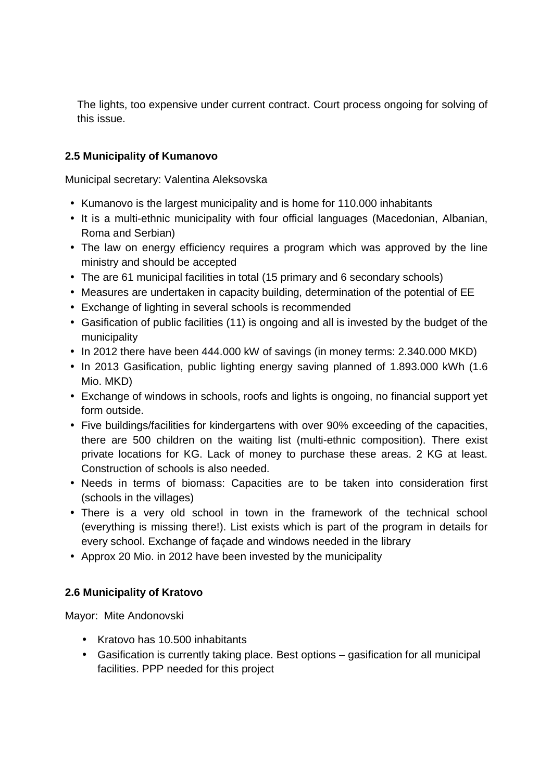The lights, too expensive under current contract. Court process ongoing for solving of this issue.

#### **2.5 Municipality of Kumanovo**

Municipal secretary: Valentina Aleksovska

- Kumanovo is the largest municipality and is home for 110.000 inhabitants
- It is a multi-ethnic municipality with four official languages (Macedonian, Albanian, Roma and Serbian)
- The law on energy efficiency requires a program which was approved by the line ministry and should be accepted
- The are 61 municipal facilities in total (15 primary and 6 secondary schools)
- Measures are undertaken in capacity building, determination of the potential of EE
- Exchange of lighting in several schools is recommended
- Gasification of public facilities (11) is ongoing and all is invested by the budget of the municipality
- In 2012 there have been 444.000 kW of savings (in money terms: 2.340.000 MKD)
- In 2013 Gasification, public lighting energy saving planned of 1.893.000 kWh (1.6 Mio. MKD)
- Exchange of windows in schools, roofs and lights is ongoing, no financial support yet form outside.
- Five buildings/facilities for kindergartens with over 90% exceeding of the capacities, there are 500 children on the waiting list (multi-ethnic composition). There exist private locations for KG. Lack of money to purchase these areas. 2 KG at least. Construction of schools is also needed.
- Needs in terms of biomass: Capacities are to be taken into consideration first (schools in the villages)
- There is a very old school in town in the framework of the technical school (everything is missing there!). List exists which is part of the program in details for every school. Exchange of façade and windows needed in the library
- Approx 20 Mio. in 2012 have been invested by the municipality

## **2.6 Municipality of Kratovo**

Mayor: Mite Andonovski

- Kratovo has 10.500 inhabitants
- Gasification is currently taking place. Best options gasification for all municipal facilities. PPP needed for this project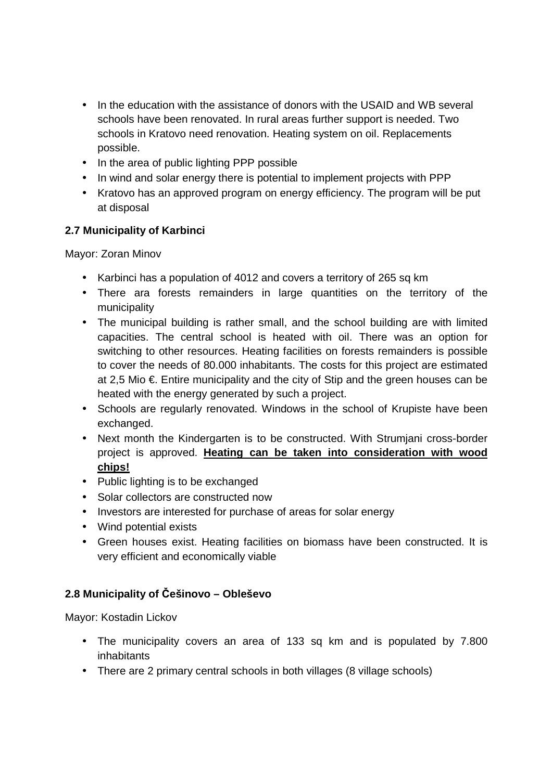- In the education with the assistance of donors with the USAID and WB several schools have been renovated. In rural areas further support is needed. Two schools in Kratovo need renovation. Heating system on oil. Replacements possible.
- In the area of public lighting PPP possible
- In wind and solar energy there is potential to implement projects with PPP
- Kratovo has an approved program on energy efficiency. The program will be put at disposal

## **2.7 Municipality of Karbinci**

Mayor: Zoran Minov

- Karbinci has a population of 4012 and covers a territory of 265 sq km
- There ara forests remainders in large quantities on the territory of the municipality
- The municipal building is rather small, and the school building are with limited capacities. The central school is heated with oil. There was an option for switching to other resources. Heating facilities on forests remainders is possible to cover the needs of 80.000 inhabitants. The costs for this project are estimated at 2,5 Mio €. Entire municipality and the city of Stip and the green houses can be heated with the energy generated by such a project.
- Schools are regularly renovated. Windows in the school of Krupiste have been exchanged.
- Next month the Kindergarten is to be constructed. With Strumjani cross-border project is approved. **Heating can be taken into consideration with wood chips!**
- Public lighting is to be exchanged
- Solar collectors are constructed now
- Investors are interested for purchase of areas for solar energy
- Wind potential exists
- Green houses exist. Heating facilities on biomass have been constructed. It is very efficient and economically viable

# **2.8 Municipality of Češinovo – Obleševo**

Mayor: Kostadin Lickov

- The municipality covers an area of 133 sq km and is populated by 7.800 inhabitants
- There are 2 primary central schools in both villages (8 village schools)